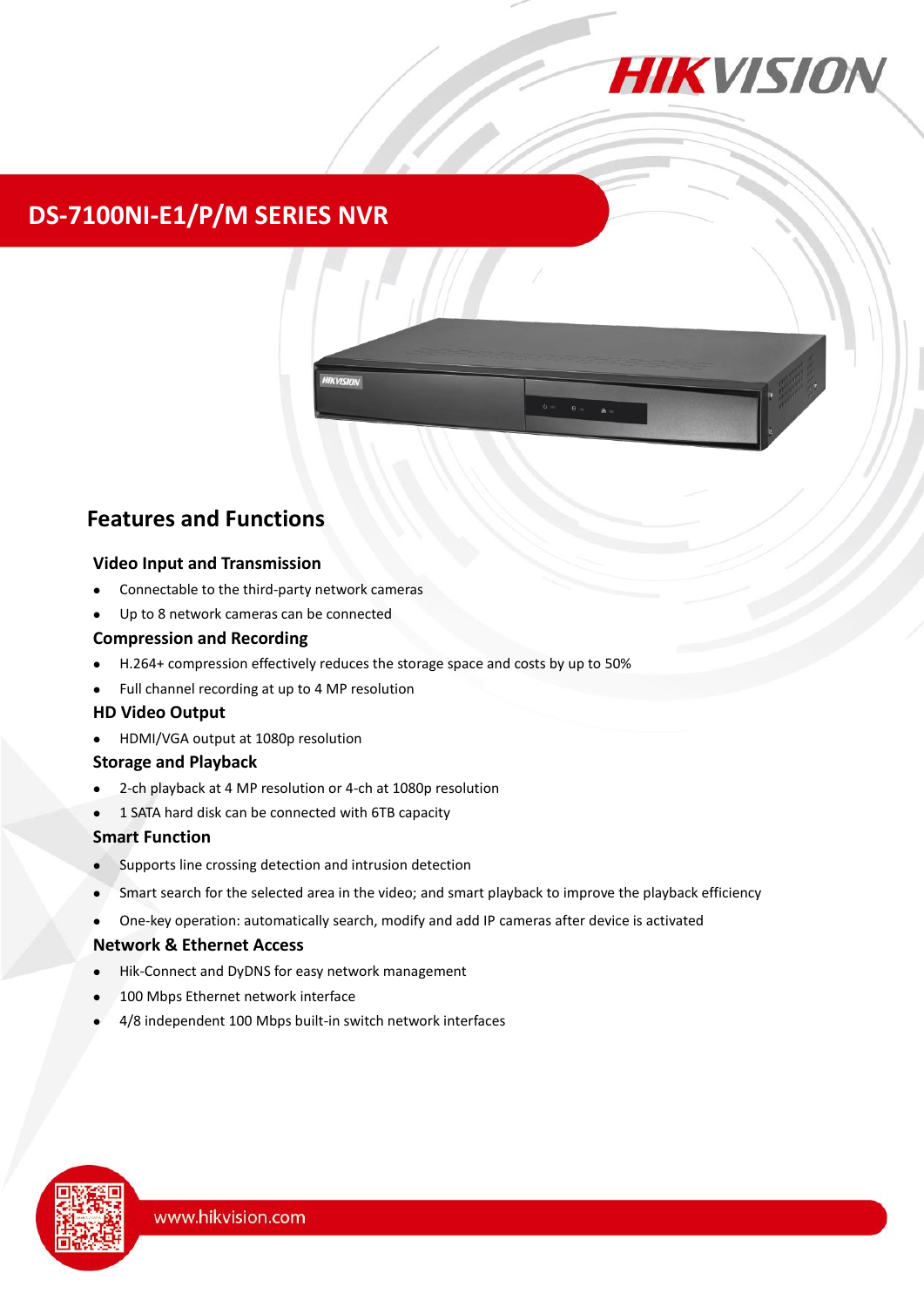

## **DS-7100NI-E1/P/M SERIES NVR**



## **Features and Functions**

### **Video Input and Transmission**

- Connectable to the third-party network cameras
- Up to 8 network cameras can be connected

### **Compression and Recording**

- H.264+ compression effectively reduces the storage space and costs by up to 50%
- Full channel recording at up to 4 MP resolution

### **HD Video Output**

HDMI/VGA output at 1080p resolution

### **Storage and Playback**

- 2-ch playback at 4 MP resolution or 4-ch at 1080p resolution
- 1 SATA hard disk can be connected with 6TB capacity

### **Smart Function**

- Supports line crossing detection and intrusion detection
- Smart search for the selected area in the video; and smart playback to improve the playback efficiency
- One-key operation: automatically search, modify and add IP cameras after device is activated

### **Network & Ethernet Access**

- Hik-Connect and DyDNS for easy network management
- 100 Mbps Ethernet network interface
- 4/8 independent 100 Mbps built-in switch network interfaces

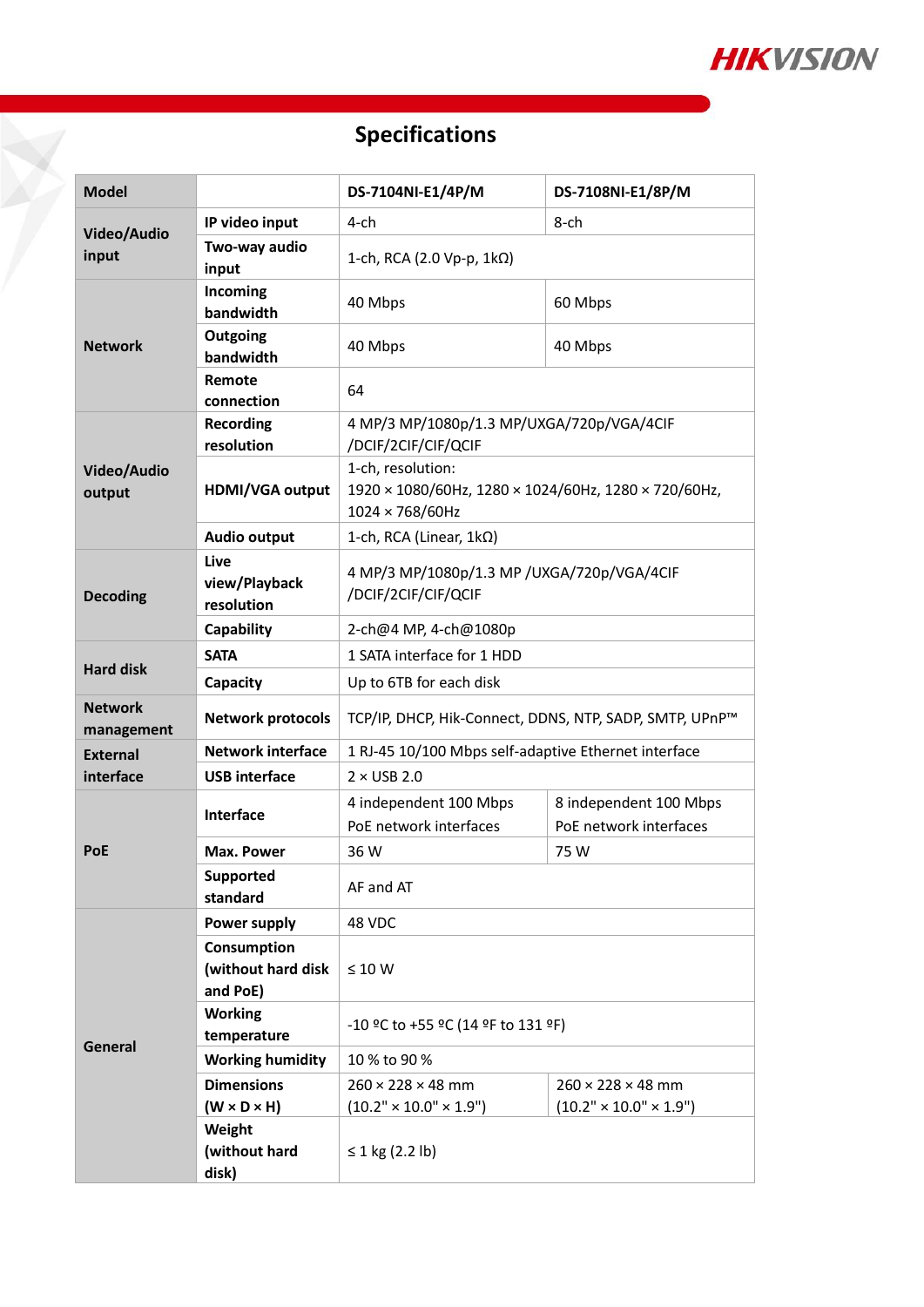

# **Specifications**

7

| <b>Model</b>                 |                                               | DS-7104NI-E1/4P/M                                                                            | DS-7108NI-E1/8P/M                                |  |  |
|------------------------------|-----------------------------------------------|----------------------------------------------------------------------------------------------|--------------------------------------------------|--|--|
| Video/Audio                  | IP video input                                | $4$ -ch                                                                                      | $8$ -ch                                          |  |  |
| input                        | Two-way audio<br>input                        | 1-ch, RCA (2.0 Vp-p, $1k\Omega$ )                                                            |                                                  |  |  |
| <b>Network</b>               | Incoming<br>bandwidth                         | 40 Mbps                                                                                      | 60 Mbps                                          |  |  |
|                              | Outgoing<br>bandwidth                         | 40 Mbps                                                                                      | 40 Mbps                                          |  |  |
|                              | Remote<br>connection                          | 64                                                                                           |                                                  |  |  |
| Video/Audio<br>output        | <b>Recording</b><br>resolution                | 4 MP/3 MP/1080p/1.3 MP/UXGA/720p/VGA/4CIF<br>/DCIF/2CIF/CIF/QCIF                             |                                                  |  |  |
|                              | <b>HDMI/VGA output</b>                        | 1-ch, resolution:<br>1920 × 1080/60Hz, 1280 × 1024/60Hz, 1280 × 720/60Hz,<br>1024 × 768/60Hz |                                                  |  |  |
|                              | <b>Audio output</b>                           | 1-ch, RCA (Linear, 1kΩ)                                                                      |                                                  |  |  |
| <b>Decoding</b>              | Live<br>view/Playback<br>resolution           | 4 MP/3 MP/1080p/1.3 MP / UXGA/720p/VGA/4CIF<br>/DCIF/2CIF/CIF/QCIF                           |                                                  |  |  |
|                              | Capability                                    | 2-ch@4 MP, 4-ch@1080p                                                                        |                                                  |  |  |
| <b>Hard disk</b>             | <b>SATA</b>                                   | 1 SATA interface for 1 HDD                                                                   |                                                  |  |  |
|                              | Capacity                                      | Up to 6TB for each disk                                                                      |                                                  |  |  |
| <b>Network</b><br>management | <b>Network protocols</b>                      | TCP/IP, DHCP, Hik-Connect, DDNS, NTP, SADP, SMTP, UPnP™                                      |                                                  |  |  |
| <b>External</b>              | <b>Network interface</b>                      | 1 RJ-45 10/100 Mbps self-adaptive Ethernet interface                                         |                                                  |  |  |
| interface                    | <b>USB interface</b>                          | $2 \times$ USB 2.0                                                                           |                                                  |  |  |
| <b>PoE</b>                   | <b>Interface</b>                              | 4 independent 100 Mbps<br>PoE network interfaces                                             | 8 independent 100 Mbps<br>PoE network interfaces |  |  |
|                              | <b>Max. Power</b>                             | 36 W                                                                                         | 75 W                                             |  |  |
|                              | <b>Supported</b><br>standard                  | AF and AT                                                                                    |                                                  |  |  |
| General                      | Power supply                                  | 48 VDC                                                                                       |                                                  |  |  |
|                              | Consumption<br>(without hard disk<br>and PoE) | $\leq 10 W$                                                                                  |                                                  |  |  |
|                              | <b>Working</b><br>temperature                 | -10 °C to +55 °C (14 °F to 131 °F)                                                           |                                                  |  |  |
|                              | <b>Working humidity</b>                       | 10 % to 90 %                                                                                 |                                                  |  |  |
|                              | <b>Dimensions</b>                             | $260 \times 228 \times 48$ mm<br>$260 \times 228 \times 48$ mm                               |                                                  |  |  |
|                              | $(W \times D \times H)$                       | $(10.2" \times 10.0" \times 1.9")$<br>$(10.2" \times 10.0" \times 1.9")$                     |                                                  |  |  |
|                              | Weight<br>(without hard<br>disk)              | ≤ 1 kg (2.2 lb)                                                                              |                                                  |  |  |